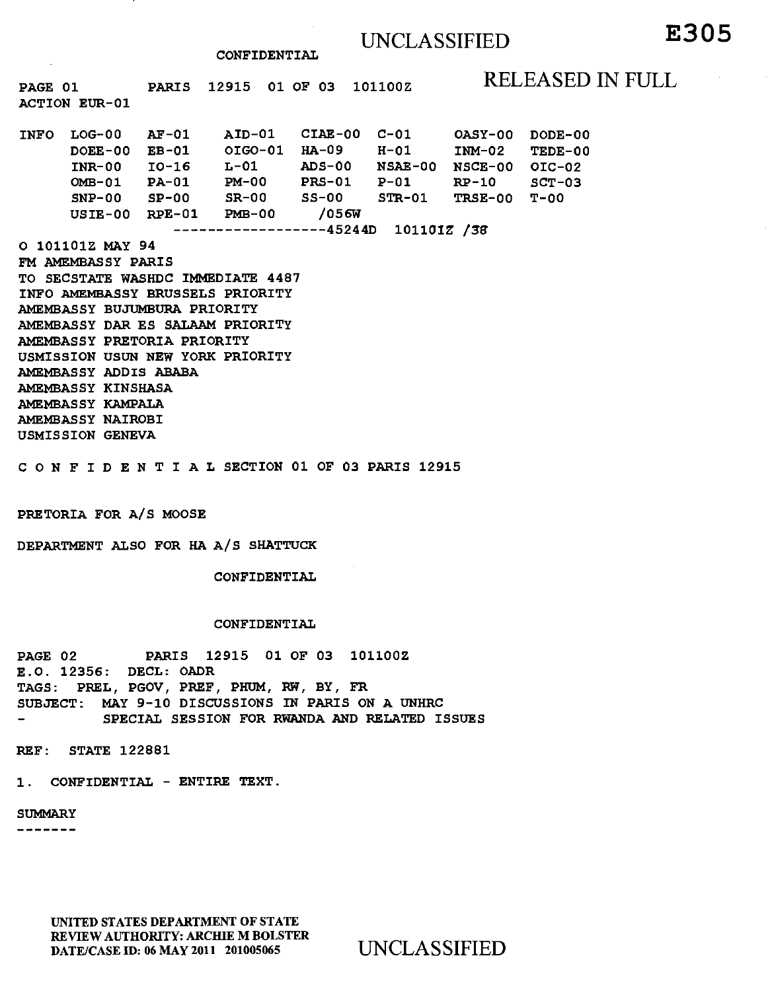### UNCLASSIFIED

**CONFIDENTIAL** 

PAGE 01 **PARIS** 12915 01 OF 03 101100Z RELEASED IN FULL **ACTION EUR -01 INFO LOG-00 AF-01 AID-01 CIAE-00 C-01 OASY-00 DODE-00 DOEE-00 EB-01 OIG0-01 HA-09 H-01 INM-02 TEDE-00 INR-00 10-16 L-01 ADS-00 NSAE-00 NSCE-00 OIC-02 OMB-01 PA-01 PM-00 PRS-01 P-01 RP-10 SCT-03 SNP-00 SP-00 SR-00 SS-00 STR-01 TRSE-00 T-00 USIE-00 RPE-01 PMB-00 /056W 45244D 10110IZ /38 0 101101Z MAY 94 FM AMEMBASSY PARIS TO SECSTATE WASHDC IMMEDIATE 4487 INFO AMEMBASSY BRUSSELS PRIORITY AMEMBASSY BUJUMBURA PRIORITY AMEMBASSY DAR ES SALAAM PRIORITY AMEMBASSY PRETORIA PRIORITY USMISSION USUN NEW YORK PRIORITY AMEMBASSY ADDIS ABABA AMEMBASSY KINSHASA AMEMBASSY KAMPALA AMEMBASSY NAIROBI USMISSION GENEVA CONFIDENTIALSECTION 01 OF 03 PARIS 12915** 

**PRETORIA FOR A/S MOOSE** 

**DEPARTMENT ALSO FOR HA A/S SHATTUCK** 

**CONFIDENTIAL** 

#### **CONFIDENTIAL**

**PAGE 02 PARIS 12915 01 OF 03 101100Z E.O. 12356: DECL: OADR TAGS: PREL, PGOV, PREF, PHUM, RW, BY, FR SUBJECT: MAY 9-10 DISCUSSIONS IN PARIS ON A UNHRC SPECIAL SESSION FOR RWANDA AND RELATED ISSUES** 

**REF: STATE 122881** 

**1. CONFIDENTIAL - ENTIRE TEXT.** 

**SUMMARY** 

-------

UNITED STATES DEPARTMENT OF STATE REVIEW AUTHORITY: ARCHIE M BOLSTER DATE/CASE ID: 06 MAY 2011 201005065 UNCLASSIFIED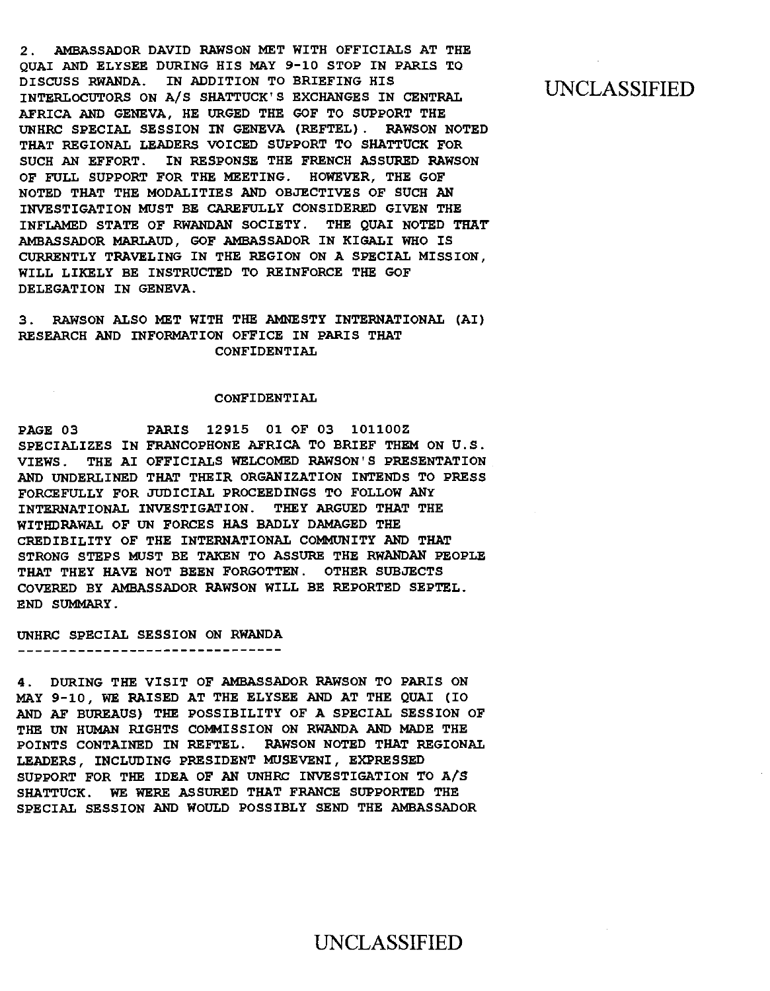2. AMBASSADOR DAVID RAWSON MET WITH OFFICIALS AT THE QUAI AND ELYSEE DURING HIS MAY 9-10 STOP IN PARIS TO DISCUSS RWANDA. IN ADDITION TO BRIEFING HIS INTERLOCUTORS ON A/S SHATTUCK'S EXCHANGES IN CENTRAL AFRICA AND GENEVA, HE URGED THE GOF TO SUPPORT THE UNHRC SPECIAL SESSION IN GENEVA (REFTEL). RAWSON NOTED THAT REGIONAL LEADERS VOICED SUPPORT TO SHATTUCK FOR SUCH AN EFFORT. IN RESPONSE THE FRENCH ASSURED RAWSON OF FULL SUPPORT FOR THE MEETING. HOWEVER, THE GOF NOTED THAT THE MODALITIES AND OBJECTIVES OF SUCH AN INVESTIGATION MUST BE CAREFULLY CONSIDERED GIVEN THE INFLAMED STATE OF RWANDAN SOCIETY. THE QUAI NOTED THAT AMBASSADOR MARLAUD, GOF AMBASSADOR IN KIGALI WHO IS CURRENTLY TRAVELING IN THE REGION ON A SPECIAL MISSION, WILL LIKELY BE INSTRUCTED TO REINFORCE THE GOF DELEGATION IN GENEVA.

3. RAWSON ALSO MET WITH THE AMNESTY INTERNATIONAL (AI) RESEARCH AND INFORMATION OFFICE IN PARIS THAT CONFIDENTIAL

#### CONFIDENTIAL

PAGE 03 PARIS 12915 01 OF 03 101100Z SPECIALIZES IN FRANCOPHONE AFRICA TO BRIEF THEM ON U.S. VIEWS. THE AI OFFICIALS WELCOMED RAWSON'S PRESENTATION AND UNDERLINED THAT THEIR ORGANIZATION INTENDS TO PRESS FORCEFULLY FOR JUDICIAL PROCEEDINGS TO FOLLOW ANY INTERNATIONAL INVESTIGATION. THEY ARGUED THAT THE WITHDRAWAL OF UN FORCES HAS BADLY DAMAGED THE CREDIBILITY OF THE INTERNATIONAL COMMUNITY AND THAT STRONG STEPS MUST BE TAKEN TO ASSURE THE RWANDAN PEOPLE THAT THEY HAVE NOT BEEN FORGOTTEN. OTHER SUBJECTS COVERED BY AMBASSADOR RAWSON WILL BE REPORTED SEPTEL. END SUMMARY.

#### UNHRC SPECIAL SESSION ON RWANDA

--------------------------------

4. DURING THE VISIT OF AMBASSADOR RAWSON TO PARIS ON MAY 9-10, WE RAISED AT THE ELYSEE AND AT THE QUAI (I0 AND AF BUREAUS) THE POSSIBILITY OF A SPECIAL SESSION OF THE UN HUMAN RIGHTS COMMISSION ON RWANDA AND MADE THE POINTS CONTAINED IN REFTEL. RAWSON NOTED THAT REGIONAL LEADERS, INCLUDING PRESIDENT MUSEVENI, EXPRESSED SUPPORT FOR THE IDEA OF AN UNHRC INVESTIGATION TO A/S SHATTUCK. WE WERE ASSURED THAT FRANCE SUPPORTED THE SPECIAL SESSION AND WOULD POSSIBLY SEND THE AMBASSADOR

### UNCLASSIFIED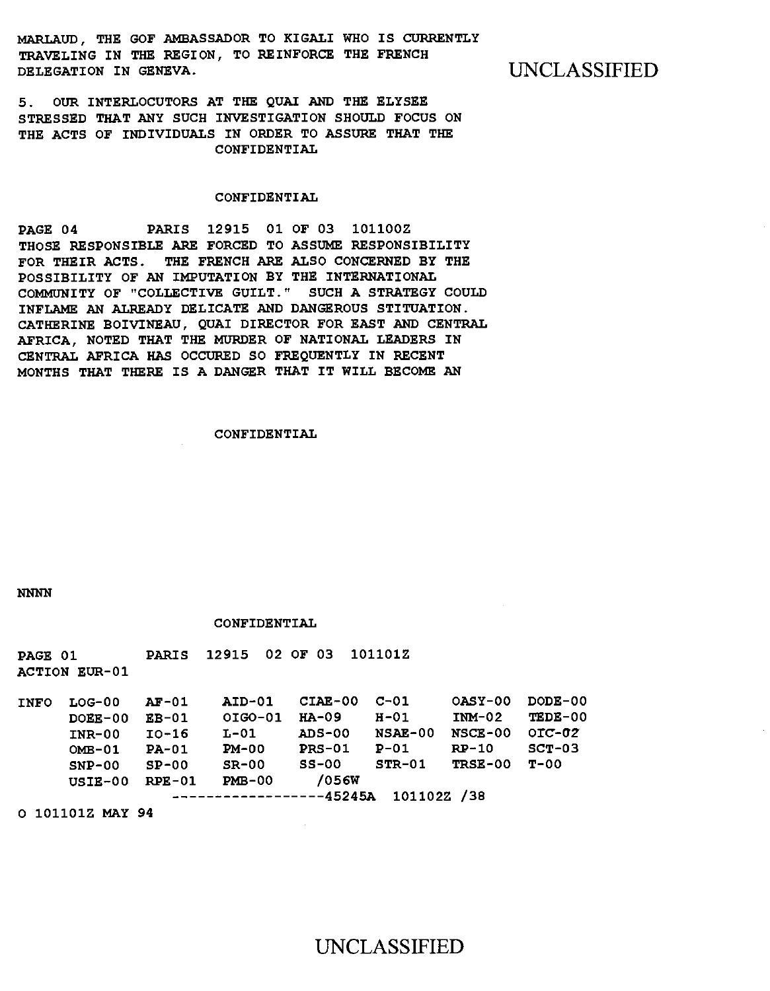**MARLAUD, THE GOF AMBASSADOR TO KIGALI WHO IS CURRENTLY TRAVELING IN THE REGION, TO REINFORCE THE FRENCH**  DELEGATION IN GENEVA. **WE UNCLASSIFIED** 

**5. OUR INTERLOCUTORS AT THE QUAI AND THE ELYSEE STRESSED THAT ANY SUCH INVESTIGATION SHOULD FOCUS ON THE ACTS OF INDIVIDUALS IN ORDER TO ASSURE THAT THE CONFIDENTIAL** 

#### **CONFIDENTIAL**

**PAGE 04 PARIS 12915 01 OF 03 1011002 THOSE RESPONSIBLE ARE FORCED TO ASSUME RESPONSIBILITY FOR THEIR ACTS. THE FRENCH ARE ALSO CONCERNED BY THE POSSIBILITY OF AN IMPUTATION BY THE INTERNATIONAL COMMUNITY OF "COLLECTIVE GUILT." SUCH A STRATEGY COULD INFLAME AN ALREADY DELICATE AND DANGEROUS STITUATION. CATHERINE BOIVINEAU, QUAI DIRECTOR FOR EAST AND CENTRAL AFRICA, NOTED THAT THE MURDER OF NATIONAL LEADERS IN CENTRAL AFRICA HAS OCCURED SO FREQUENTLY IN RECENT MONTHS THAT THERE IS A DANGER THAT IT WILL BECOME AN** 

#### **CONFIDENTIAL**

**NNNN** 

#### **CONFIDENTIAL**

| PAGE 01     | <b>ACTION EUR-01</b>                                                   | <b>PARIS</b>                                                         | 12915                                                                | 02 OF 03                                                                        | 1011012                                                                 |                                                             |                                                        |
|-------------|------------------------------------------------------------------------|----------------------------------------------------------------------|----------------------------------------------------------------------|---------------------------------------------------------------------------------|-------------------------------------------------------------------------|-------------------------------------------------------------|--------------------------------------------------------|
| <b>INFO</b> | $LOG-00$<br>$DOER-00$<br>$INR-00$<br>$OMB-01$<br>$SNP-00$<br>$USIE-00$ | <b>AF-01</b><br>$EB-01$<br>$IO-16$<br>$PA-01$<br>$SP-00$<br>$RPE-01$ | <b>AID-01</b><br>OIGO-01<br>$L-01$<br>$PM-00$<br>$SR-00$<br>$PMB-00$ | $CIAE-00$<br>$HA-09$<br>$ADS-00$<br>$PRS-01$<br>$SS-00$<br>/056W<br>-----45245A | $C-01$<br>$H-01$<br><b>NSAE-00</b><br>$P-01$<br>$STR-01$<br>101102Z /38 | OASY-00<br>$IMM-02$<br><b>NSCE-00</b><br>$RP-10$<br>TRSE-00 | $DODE-00$<br>TEDE-00<br>$OIC-02$<br>$SCT-03$<br>$T-00$ |
|             | 0 101101Z MAY 94                                                       |                                                                      |                                                                      |                                                                                 |                                                                         |                                                             |                                                        |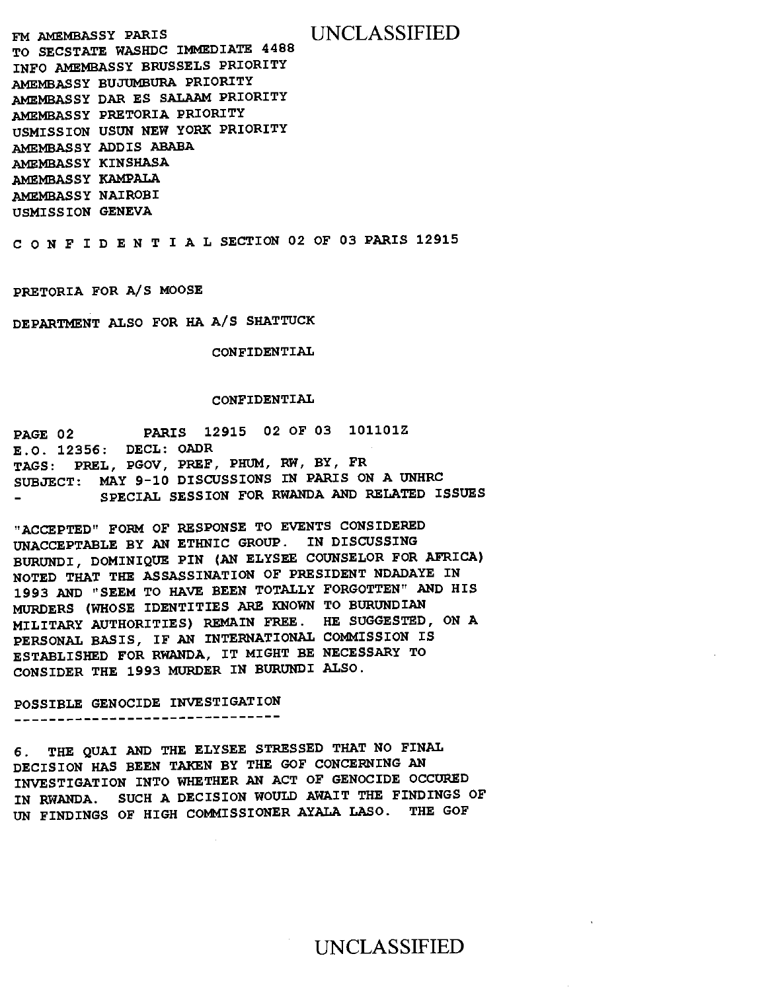**FM AMEMBASSY PARIS** UNCLASSIFIED **TO SECSTATE WASHDC IMMEDIATE 4488 INFO AMEMBASSY BRUSSELS PRIORITY AMEMBASSY BUJUMBURA PRIORITY AMEMBASSY DAR ES SALAAM PRIORITY AMEMBASSY PRETORIA PRIORITY USMISSION USUN NEW YORK PRIORITY AMEMBASSY ADDIS ABABA AMEMBASSY KINSHASA AMEMBASSY KAMPALA AMEMBASSY NAIROBI USMISSION GENEVA** 

**CONFIDENTIALSECTION 02 OF 03 PARIS 12915** 

**PRETORIA FOR A/S MOOSE** 

**DEPARTMENT ALSO FOR HA A/S SHATTUCK** 

**CONFIDENTIAL** 

#### **CONFIDENTIAL**

**PAGE 02 PARIS 12915 02 OF 03 101101Z E.O. 12356: DECL: OADR TAGS: PREL, PGOV, PREF, PHUM, RW, BY, FR SUBJECT: MAY 9-10 DISCUSSIONS IN PARIS ON A UNHRC SPECIAL SESSION FOR RWANDA AND RELATED ISSUES** 

**"ACCEPTED" FORM OF RESPONSE TO EVENTS CONSIDERED UNACCEPTABLE BY AN ETHNIC GROUP. IN DISCUSSING BURUNDI, DOMINIQUE PIN (AN ELYSEE COUNSELOR FOR AFRICA) NOTED THAT THE ASSASSINATION OF PRESIDENT NDADAYE IN 1993 AND "SEEM TO HAVE BEEN TOTALLY FORGOTTEN" AND HIS MURDERS (WHOSE IDENTITIES ARE KNOWN TO BURUNDIAN MILITARY AUTHORITIES) REMAIN FREE. HE SUGGESTED, ON A PERSONAL BASIS, IF AN INTERNATIONAL COMMISSION IS ESTABLISHED FOR RWANDA, IT MIGHT BE NECESSARY TO CONSIDER THE 1993 MURDER IN BURUNDI ALSO.** 

# **POSSIBLE GENOCIDE INVESTIGATION**

**6. THE QUAI AND THE ELYSEE STRESSED THAT NO FINAL DECISION HAS BEEN TAKEN BY THE GOF CONCERNING AN INVESTIGATION INTO WHETHER AN ACT OF GENOCIDE OCCURED IN RWANDA. SUCH A DECISION WOULD AWAIT THE FINDINGS OF UN FINDINGS OF HIGH COMMISSIONER AYALA LASO. THE GOF**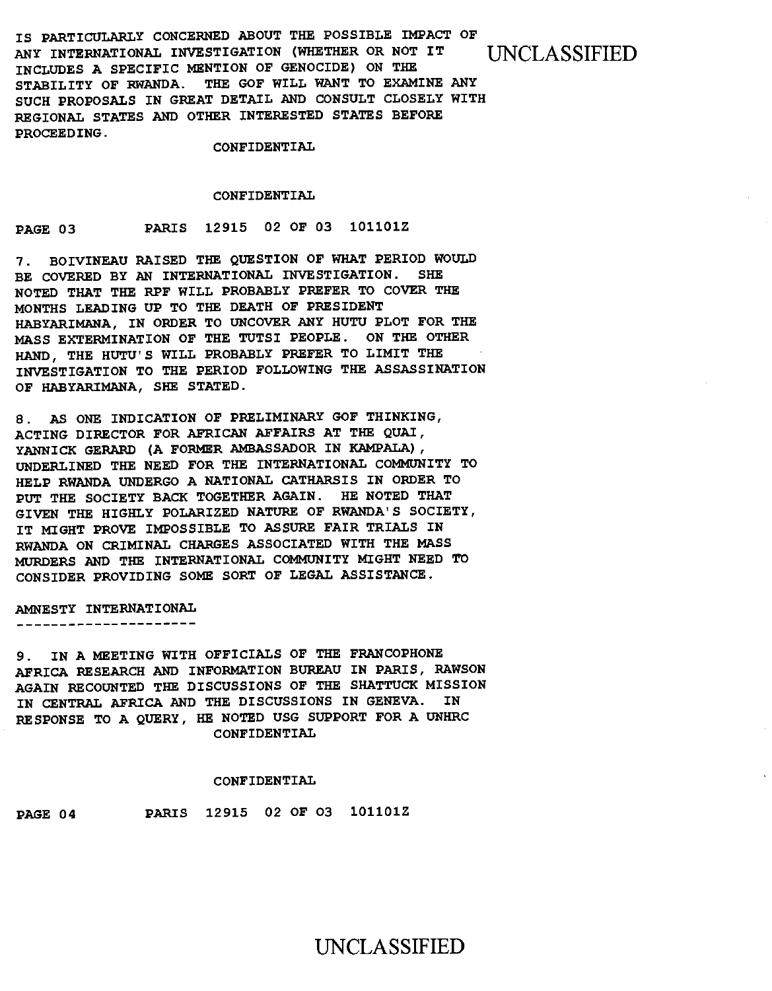**IS PARTICULARLY CONCERNED ABOUT THE POSSIBLE IMPACT OF ANY INTERNATIONAL INVESTIGATION (WHETHER OR NOT IT** UNCLASSIFIED **INCLUDES A SPECIFIC MENTION OF GENOCIDE) ON THE STABILITY OF RWANDA. THE GOF WILL WANT TO EXAMINE ANY SUCH PROPOSALS IN GREAT DETAIL AND CONSULT CLOSELY WITH REGIONAL STATES AND OTHER INTERESTED STATES BEFORE PROCEEDING.** 

**CONFIDENTIAL** 

#### **CONFIDENTIAL**

**PAGE 03 PARIS 12915 02 OF 03 101101Z** 

**7. BOIVINEAU RAISED THE QUESTION OF WHAT PERIOD WOULD BE COVERED BY AN INTERNATIONAL INVESTIGATION. SHE NOTED THAT THE RPF WILL PROBABLY PREFER TO COVER THE MONTHS LEADING UP TO THE DEATH OF PRESIDENT HABYARIMANA, IN ORDER TO UNCOVER ANY HUTU PLOT FOR THE MASS EXTERMINATION OF THE TUTSI PEOPLE. ON THE OTHER HAND, THE HUTU'S WILL PROBABLY PREFER TO LIMIT THE INVESTIGATION TO THE PERIOD FOLLOWING THE ASSASSINATION OF HABYARIMANA, SHE STATED.** 

**8. AS ONE INDICATION OF PRELIMINARY GOF THINKING, ACTING DIRECTOR FOR AFRICAN AFFAIRS AT THE QUAI, YANNICK GERARD (A FORMER AMBASSADOR IN KAMPALA), UNDERLINED THE NEED FOR THE INTERNATIONAL COMMUNITY TO HELP RWANDA UNDERGO A NATIONAL CATHARSIS IN ORDER TO PUT THE SOCIETY BACK TOGETHER AGAIN. HE NOTED THAT GIVEN THE HIGHLY POLARIZED NATURE OF RWANDA'S SOCIETY, IT MIGHT PROVE IMPOSSIBLE TO ASSURE FAIR TRIALS IN RWANDA ON CRIMINAL CHARGES ASSOCIATED WITH THE MASS MURDERS AND THE INTERNATIONAL COMMUNITY MIGHT NEED TO CONSIDER PROVIDING SOME SORT OF LEGAL ASSISTANCE.** 

**AMNESTY INTERNATIONAL** 

\_\_\_\_\_\_\_\_\_\_\_\_\_\_\_\_\_\_\_\_

**9. IN A MEETING WITH OFFICIALS OF THE FRANCOPHONE AFRICA RESEARCH AND INFORMATION BUREAU IN PARIS, RAWSON AGAIN RECOUNTED THE DISCUSSIONS OF THE SHATTUCK MISSION IN CENTRAL AFRICA AND THE DISCUSSIONS IN GENEVA. IN RESPONSE TO A QUERY, HE NOTED USG SUPPORT FOR A UNHRC CONFIDENTIAL** 

#### **CONFIDENTIAL**

**PAGE 04 PARIS 12915 02 OF 03 101101Z**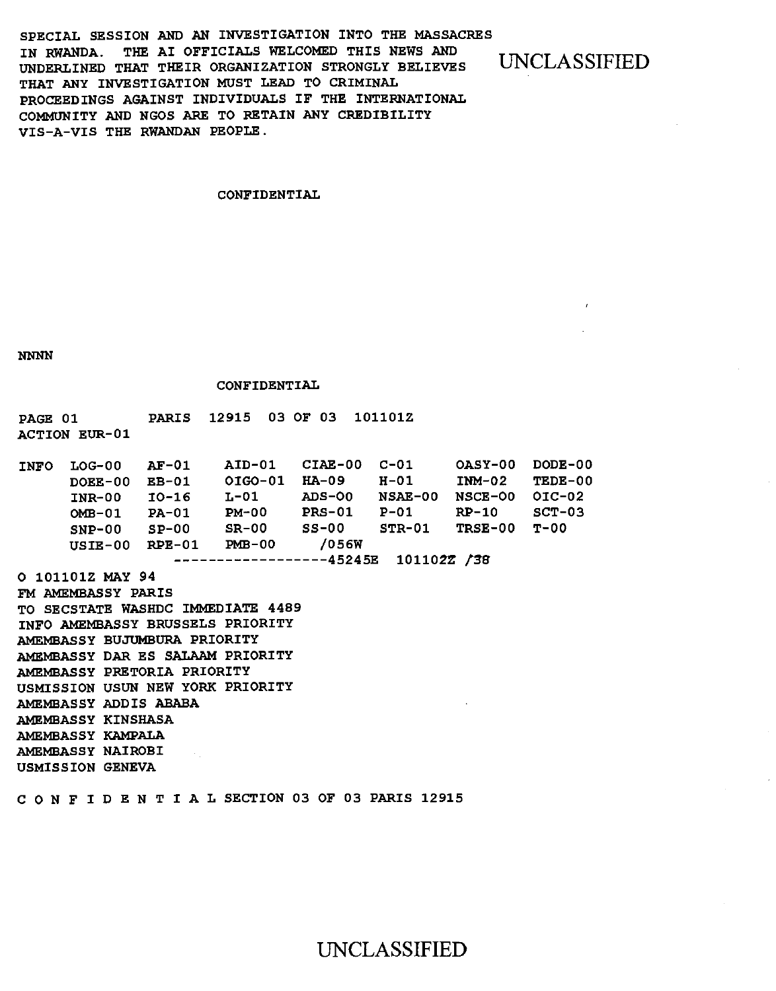SPECIAL SESSION AND AN INVESTIGATION INTO THE MASSACRES IN RWANDA. THE AI OFFICIALS WELCOMED THIS NEWS AND UNDERLINED THAT THEIR ORGANIZATION STRONGLY BELIEVES THAT ANY INVESTIGATION MUST LEAD TO CRIMINAL PROCEEDINGS AGAINST INDIVIDUALS IF THE INTERNATIONAL COMMUNITY AND NGOS ARE TO RETAIN ANY CREDIBILITY VIS-A-VIS THE RWANDAN PEOPLE.

UNCLASSIFIED

#### CONFIDENTIAL

NNNN

#### CONFIDENTIAL

PAGE 01 PARIS 12915 03 OF 03 101101Z ACTION EUR-01

| <b>INFO</b> | $LOG-00$      | $AF-01$  | AID-01                  | CIAE-00       | $C - 01$    | OASY-00   | DODE-00    |
|-------------|---------------|----------|-------------------------|---------------|-------------|-----------|------------|
|             | DOEE-00       | $EB-01$  | OIGO-01                 | $HA-09$       | $H-01$      | $INM-02$  | TEDE-00    |
|             | <b>INR-00</b> | $10-16$  | L-01                    | ADS-00        | NSAE-00     | $NGCE-OO$ | $OIC - O2$ |
|             | $OMB-01$      | $PA-01$  | $PM-00$                 | <b>PRS-01</b> | $P-01$      | $RP-10$   | $SCT-03$   |
|             | $SNP-00$      | $SP-00$  | $SR-00$                 | $SS-00$       | $STR-01$    | TRSE-00   | т-00       |
|             | $USIE-00$     | $RPE-01$ | $PMB-00$                | /056W         |             |           |            |
|             |               |          | -----------------45245E |               | 101102Z /38 |           |            |

0 101101Z MAY 94 FM AMEMBASSY PARIS TO SECSTATE WASHDC IMMEDIATE 4489 INFO AMEMBASSY BRUSSELS PRIORITY AMEMBASSY BUJUMBURA PRIORITY AMEMBASSY DAR ES SALAAM PRIORITY AMEMBASSY PRETORIA PRIORITY USMISSION USUN NEW YORK PRIORITY AMEMBASSY ADDIS ABABA AMEMBASSY KINSHASA AMEMBASSY KAMPALA AMEMBASSY NAIROBI USMISSION GENEVA

cONFIDENTIALSECTION 03 OF 03 PARIS 12915